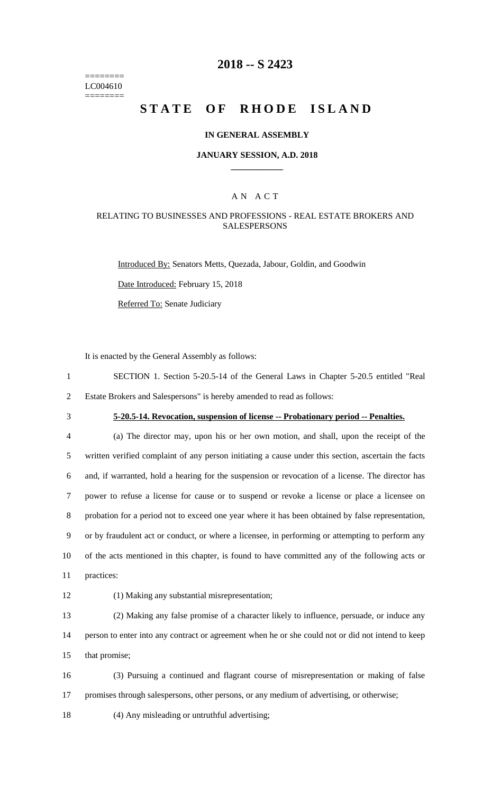======== LC004610 ========

# **2018 -- S 2423**

# **STATE OF RHODE ISLAND**

### **IN GENERAL ASSEMBLY**

#### **JANUARY SESSION, A.D. 2018 \_\_\_\_\_\_\_\_\_\_\_\_**

### A N A C T

### RELATING TO BUSINESSES AND PROFESSIONS - REAL ESTATE BROKERS AND **SALESPERSONS**

Introduced By: Senators Metts, Quezada, Jabour, Goldin, and Goodwin

Date Introduced: February 15, 2018

Referred To: Senate Judiciary

It is enacted by the General Assembly as follows:

- 1 SECTION 1. Section 5-20.5-14 of the General Laws in Chapter 5-20.5 entitled "Real 2 Estate Brokers and Salespersons" is hereby amended to read as follows:
- 

# 3 **5-20.5-14. Revocation, suspension of license -- Probationary period -- Penalties.**

 (a) The director may, upon his or her own motion, and shall, upon the receipt of the written verified complaint of any person initiating a cause under this section, ascertain the facts and, if warranted, hold a hearing for the suspension or revocation of a license. The director has power to refuse a license for cause or to suspend or revoke a license or place a licensee on probation for a period not to exceed one year where it has been obtained by false representation, or by fraudulent act or conduct, or where a licensee, in performing or attempting to perform any of the acts mentioned in this chapter, is found to have committed any of the following acts or practices:

12 (1) Making any substantial misrepresentation;

13 (2) Making any false promise of a character likely to influence, persuade, or induce any 14 person to enter into any contract or agreement when he or she could not or did not intend to keep 15 that promise;

16 (3) Pursuing a continued and flagrant course of misrepresentation or making of false 17 promises through salespersons, other persons, or any medium of advertising, or otherwise;

18 (4) Any misleading or untruthful advertising;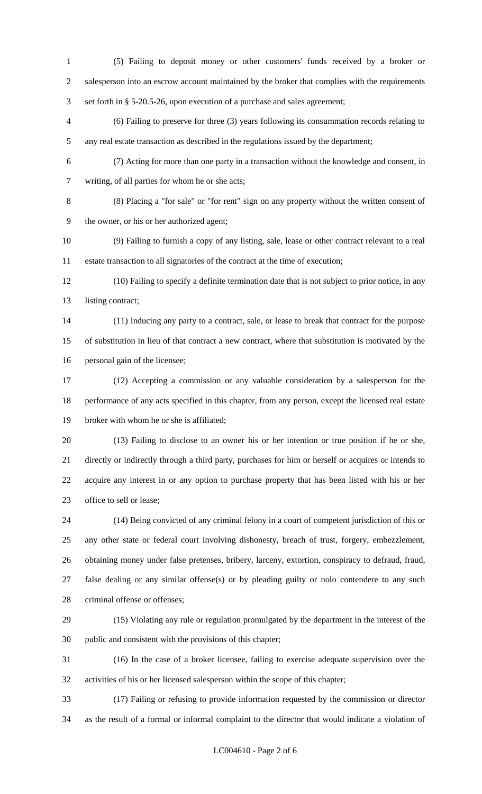- (5) Failing to deposit money or other customers' funds received by a broker or salesperson into an escrow account maintained by the broker that complies with the requirements set forth in § 5-20.5-26, upon execution of a purchase and sales agreement;
- (6) Failing to preserve for three (3) years following its consummation records relating to any real estate transaction as described in the regulations issued by the department;
- (7) Acting for more than one party in a transaction without the knowledge and consent, in
- writing, of all parties for whom he or she acts;
- (8) Placing a "for sale" or "for rent" sign on any property without the written consent of the owner, or his or her authorized agent;
- (9) Failing to furnish a copy of any listing, sale, lease or other contract relevant to a real estate transaction to all signatories of the contract at the time of execution;
- (10) Failing to specify a definite termination date that is not subject to prior notice, in any 13 listing contract;
- (11) Inducing any party to a contract, sale, or lease to break that contract for the purpose of substitution in lieu of that contract a new contract, where that substitution is motivated by the personal gain of the licensee;
- (12) Accepting a commission or any valuable consideration by a salesperson for the performance of any acts specified in this chapter, from any person, except the licensed real estate broker with whom he or she is affiliated;
- (13) Failing to disclose to an owner his or her intention or true position if he or she, directly or indirectly through a third party, purchases for him or herself or acquires or intends to acquire any interest in or any option to purchase property that has been listed with his or her office to sell or lease;
- (14) Being convicted of any criminal felony in a court of competent jurisdiction of this or any other state or federal court involving dishonesty, breach of trust, forgery, embezzlement, obtaining money under false pretenses, bribery, larceny, extortion, conspiracy to defraud, fraud, false dealing or any similar offense(s) or by pleading guilty or nolo contendere to any such 28 criminal offense or offenses;
- (15) Violating any rule or regulation promulgated by the department in the interest of the public and consistent with the provisions of this chapter;
- (16) In the case of a broker licensee, failing to exercise adequate supervision over the activities of his or her licensed salesperson within the scope of this chapter;
- (17) Failing or refusing to provide information requested by the commission or director as the result of a formal or informal complaint to the director that would indicate a violation of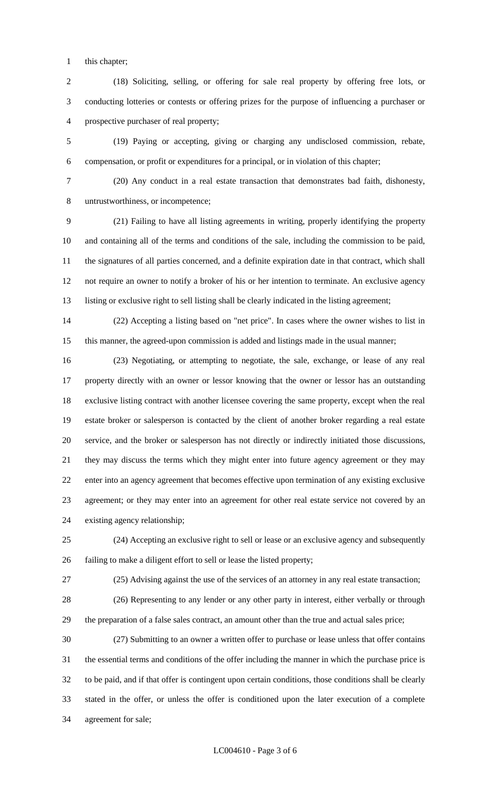this chapter;

 (18) Soliciting, selling, or offering for sale real property by offering free lots, or conducting lotteries or contests or offering prizes for the purpose of influencing a purchaser or prospective purchaser of real property;

 (19) Paying or accepting, giving or charging any undisclosed commission, rebate, compensation, or profit or expenditures for a principal, or in violation of this chapter;

 (20) Any conduct in a real estate transaction that demonstrates bad faith, dishonesty, untrustworthiness, or incompetence;

 (21) Failing to have all listing agreements in writing, properly identifying the property and containing all of the terms and conditions of the sale, including the commission to be paid, the signatures of all parties concerned, and a definite expiration date in that contract, which shall not require an owner to notify a broker of his or her intention to terminate. An exclusive agency listing or exclusive right to sell listing shall be clearly indicated in the listing agreement;

 (22) Accepting a listing based on "net price". In cases where the owner wishes to list in this manner, the agreed-upon commission is added and listings made in the usual manner;

 (23) Negotiating, or attempting to negotiate, the sale, exchange, or lease of any real property directly with an owner or lessor knowing that the owner or lessor has an outstanding exclusive listing contract with another licensee covering the same property, except when the real estate broker or salesperson is contacted by the client of another broker regarding a real estate service, and the broker or salesperson has not directly or indirectly initiated those discussions, they may discuss the terms which they might enter into future agency agreement or they may enter into an agency agreement that becomes effective upon termination of any existing exclusive agreement; or they may enter into an agreement for other real estate service not covered by an existing agency relationship;

 (24) Accepting an exclusive right to sell or lease or an exclusive agency and subsequently failing to make a diligent effort to sell or lease the listed property;

(25) Advising against the use of the services of an attorney in any real estate transaction;

 (26) Representing to any lender or any other party in interest, either verbally or through the preparation of a false sales contract, an amount other than the true and actual sales price;

 (27) Submitting to an owner a written offer to purchase or lease unless that offer contains the essential terms and conditions of the offer including the manner in which the purchase price is to be paid, and if that offer is contingent upon certain conditions, those conditions shall be clearly stated in the offer, or unless the offer is conditioned upon the later execution of a complete agreement for sale;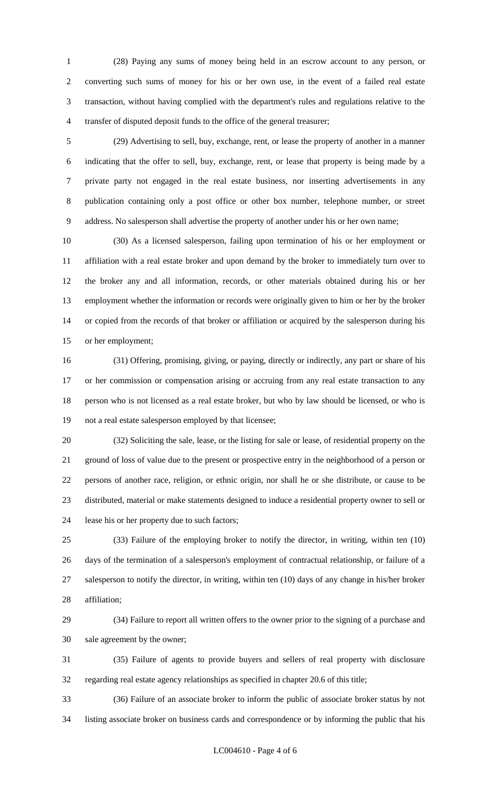(28) Paying any sums of money being held in an escrow account to any person, or converting such sums of money for his or her own use, in the event of a failed real estate transaction, without having complied with the department's rules and regulations relative to the transfer of disputed deposit funds to the office of the general treasurer;

 (29) Advertising to sell, buy, exchange, rent, or lease the property of another in a manner indicating that the offer to sell, buy, exchange, rent, or lease that property is being made by a private party not engaged in the real estate business, nor inserting advertisements in any publication containing only a post office or other box number, telephone number, or street address. No salesperson shall advertise the property of another under his or her own name;

 (30) As a licensed salesperson, failing upon termination of his or her employment or affiliation with a real estate broker and upon demand by the broker to immediately turn over to the broker any and all information, records, or other materials obtained during his or her employment whether the information or records were originally given to him or her by the broker or copied from the records of that broker or affiliation or acquired by the salesperson during his or her employment;

 (31) Offering, promising, giving, or paying, directly or indirectly, any part or share of his or her commission or compensation arising or accruing from any real estate transaction to any person who is not licensed as a real estate broker, but who by law should be licensed, or who is not a real estate salesperson employed by that licensee;

 (32) Soliciting the sale, lease, or the listing for sale or lease, of residential property on the ground of loss of value due to the present or prospective entry in the neighborhood of a person or persons of another race, religion, or ethnic origin, nor shall he or she distribute, or cause to be distributed, material or make statements designed to induce a residential property owner to sell or lease his or her property due to such factors;

 (33) Failure of the employing broker to notify the director, in writing, within ten (10) days of the termination of a salesperson's employment of contractual relationship, or failure of a salesperson to notify the director, in writing, within ten (10) days of any change in his/her broker affiliation;

 (34) Failure to report all written offers to the owner prior to the signing of a purchase and sale agreement by the owner;

 (35) Failure of agents to provide buyers and sellers of real property with disclosure regarding real estate agency relationships as specified in chapter 20.6 of this title;

 (36) Failure of an associate broker to inform the public of associate broker status by not listing associate broker on business cards and correspondence or by informing the public that his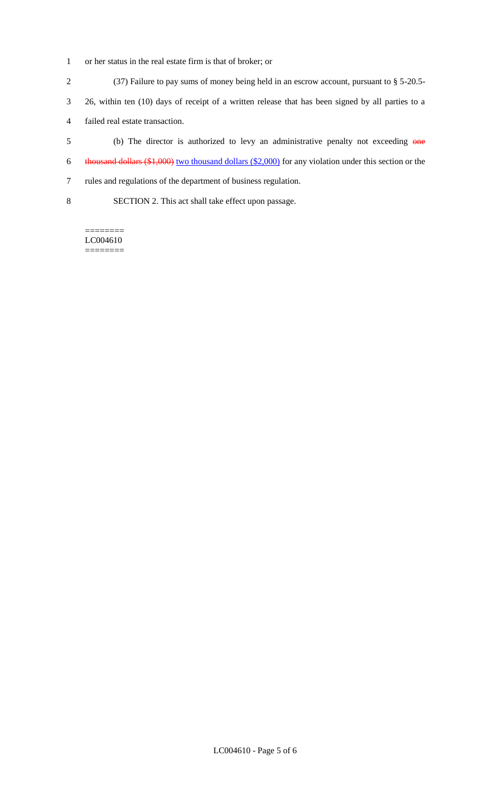- 1 or her status in the real estate firm is that of broker; or
- 2 (37) Failure to pay sums of money being held in an escrow account, pursuant to § 5-20.5-
- 3 26, within ten (10) days of receipt of a written release that has been signed by all parties to a
- 4 failed real estate transaction.
- 5 (b) The director is authorized to levy an administrative penalty not exceeding one 6 thousand dollars (\$1,000) two thousand dollars (\$2,000) for any violation under this section or the
- 7 rules and regulations of the department of business regulation.
- 8 SECTION 2. This act shall take effect upon passage.

======== LC004610 ========